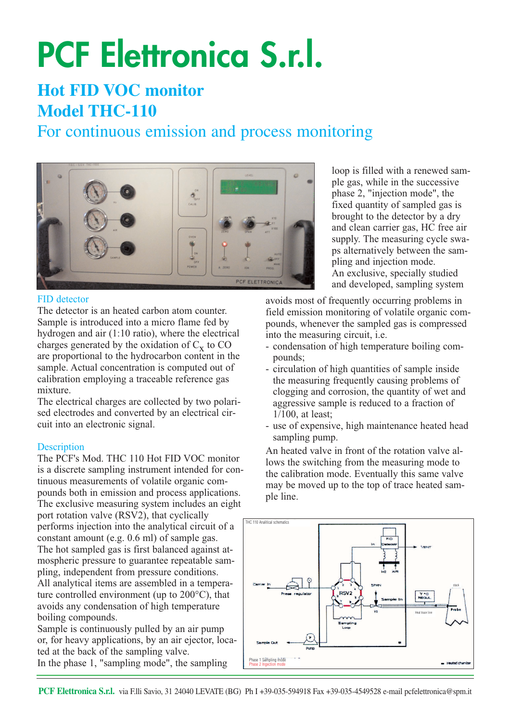# **PCF Elettronica S.r.l.**

## **Hot FID VOC monitor Model THC-110**

### For continuous emission and process monitoring



#### FID detector

The detector is an heated carbon atom counter. Sample is introduced into a micro flame fed by hydrogen and air (1:10 ratio), where the electrical charges generated by the oxidation of  $C_x$  to CO are proportional to the hydrocarbon content in the sample. Actual concentration is computed out of calibration employing a traceable reference gas mixture.

The electrical charges are collected by two polarised electrodes and converted by an electrical circuit into an electronic signal.

#### **Description**

The PCF's Mod. THC 110 Hot FID VOC monitor is a discrete sampling instrument intended for continuous measurements of volatile organic compounds both in emission and process applications. The exclusive measuring system includes an eight port rotation valve (RSV2), that cyclically performs injection into the analytical circuit of a constant amount (e.g. 0.6 ml) of sample gas. The hot sampled gas is first balanced against atmospheric pressure to guarantee repeatable sampling, independent from pressure conditions. All analytical items are assembled in a temperature controlled environment (up to 200°C), that avoids any condensation of high temperature boiling compounds.

Sample is continuously pulled by an air pump or, for heavy applications, by an air ejector, located at the back of the sampling valve. In the phase 1, "sampling mode", the sampling

loop is filled with a renewed sample gas, while in the successive phase 2, "injection mode", the fixed quantity of sampled gas is brought to the detector by a dry and clean carrier gas, HC free air supply. The measuring cycle swaps alternatively between the sampling and injection mode. An exclusive, specially studied and developed, sampling system

avoids most of frequently occurring problems in field emission monitoring of volatile organic compounds, whenever the sampled gas is compressed into the measuring circuit, i.e.

- condensation of high temperature boiling compounds;
- circulation of high quantities of sample inside the measuring frequently causing problems of clogging and corrosion, the quantity of wet and aggressive sample is reduced to a fraction of 1/100, at least;
- use of expensive, high maintenance heated head sampling pump.

An heated valve in front of the rotation valve allows the switching from the measuring mode to the calibration mode. Eventually this same valve may be moved up to the top of trace heated sample line.